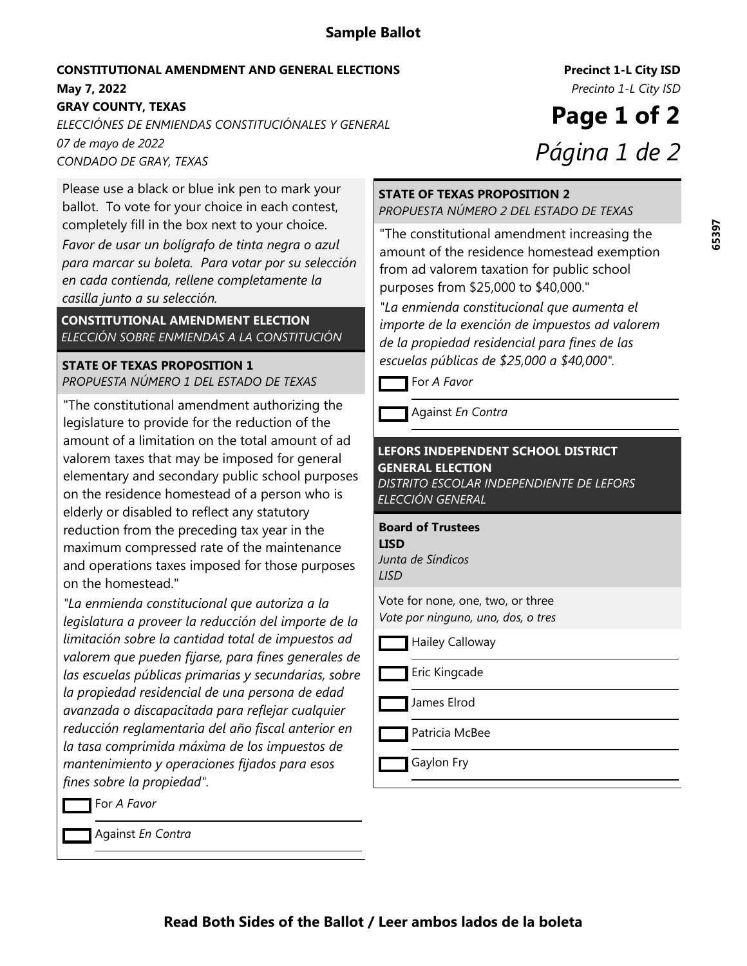# **Sample Ballot**

#### **May 7, 2022** *Precinto 1-L City ISD* **CONSTITUTIONAL AMENDMENT AND GENERAL ELECTIONS**

**GRAY COUNTY, TEXAS**

*07 de mayo de 2022 ELECCIÓNES DE ENMIENDAS CONSTITUCIÓNALES Y GENERAL CONDADO DE GRAY, TEXAS*

Please use a black or blue ink pen to mark your ballot. To vote for your choice in each contest, completely fill in the box next to your choice.

*Favor de usar un bolígrafo de tinta negra o azul para marcar su boleta. Para votar por su selección en cada contienda, rellene completamente la casilla junto a su selección.*

**CONSTITUTIONAL AMENDMENT ELECTION** *ELECCIÓN SOBRE ENMIENDAS A LA CONSTITUCIÓN*

## **STATE OF TEXAS PROPOSITION 1** *PROPUESTA NÚMERO 1 DEL ESTADO DE TEXAS*

"The constitutional amendment authorizing the legislature to provide for the reduction of the amount of a limitation on the total amount of ad valorem taxes that may be imposed for general elementary and secondary public school purposes on the residence homestead of a person who is elderly or disabled to reflect any statutory reduction from the preceding tax year in the maximum compressed rate of the maintenance and operations taxes imposed for those purposes on the homestead."

*"La enmienda constitucional que autoriza a la legislatura a proveer la reducción del importe de la limitación sobre la cantidad total de impuestos ad valorem que pueden fijarse, para fines generales de las escuelas públicas primarias y secundarias, sobre la propiedad residencial de una persona de edad avanzada o discapacitada para reflejar cualquier reducción reglamentaria del año fiscal anterior en la tasa comprimida máxima de los impuestos de mantenimiento y operaciones fijados para esos fines sobre la propiedad".*

For *A Favor*

Against *En Contra*

**Precinct 1-L City ISD**

**Page 1 of 2** *Página 1 de 2*

#### **STATE OF TEXAS PROPOSITION 2** *PROPUESTA NÚMERO 2 DEL ESTADO DE TEXAS*

"The constitutional amendment increasing the amount of the residence homestead exemption from ad valorem taxation for public school purposes from \$25,000 to \$40,000."

*"La enmienda constitucional que aumenta el importe de la exención de impuestos ad valorem de la propiedad residencial para fines de las escuelas públicas de \$25,000 a \$40,000".*

For *A Favor*

Against *En Contra*

# **LEFORS INDEPENDENT SCHOOL DISTRICT GENERAL ELECTION**

*DISTRITO ESCOLAR INDEPENDIENTE DE LEFORS ELECCIÓN GENERAL*

**Board of Trustees LISD**

*Junta de Síndicos LISD*

Vote for none, one, two, or three *Vote por ninguno, uno, dos, o tres*

Hailey Calloway

Eric Kingcade

James Elrod

Patricia McBee

Gaylon Fry